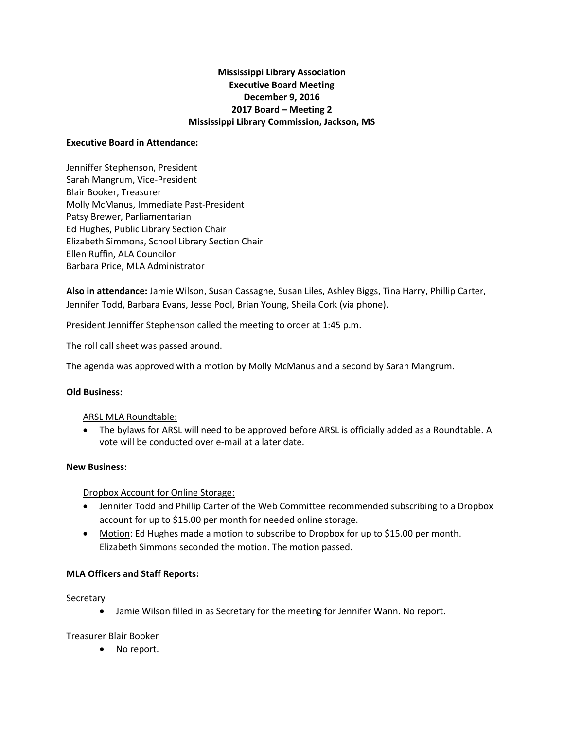# **Mississippi Library Association Executive Board Meeting December 9, 2016 2017 Board – Meeting 2 Mississippi Library Commission, Jackson, MS**

### **Executive Board in Attendance:**

Jenniffer Stephenson, President Sarah Mangrum, Vice-President Blair Booker, Treasurer Molly McManus, Immediate Past-President Patsy Brewer, Parliamentarian Ed Hughes, Public Library Section Chair Elizabeth Simmons, School Library Section Chair Ellen Ruffin, ALA Councilor Barbara Price, MLA Administrator

**Also in attendance:** Jamie Wilson, Susan Cassagne, Susan Liles, Ashley Biggs, Tina Harry, Phillip Carter, Jennifer Todd, Barbara Evans, Jesse Pool, Brian Young, Sheila Cork (via phone).

President Jenniffer Stephenson called the meeting to order at 1:45 p.m.

The roll call sheet was passed around.

The agenda was approved with a motion by Molly McManus and a second by Sarah Mangrum.

## **Old Business:**

## ARSL MLA Roundtable:

 The bylaws for ARSL will need to be approved before ARSL is officially added as a Roundtable. A vote will be conducted over e-mail at a later date.

## **New Business:**

## Dropbox Account for Online Storage:

- Jennifer Todd and Phillip Carter of the Web Committee recommended subscribing to a Dropbox account for up to \$15.00 per month for needed online storage.
- Motion: Ed Hughes made a motion to subscribe to Dropbox for up to \$15.00 per month. Elizabeth Simmons seconded the motion. The motion passed.

## **MLA Officers and Staff Reports:**

## Secretary

Jamie Wilson filled in as Secretary for the meeting for Jennifer Wann. No report.

Treasurer Blair Booker

• No report.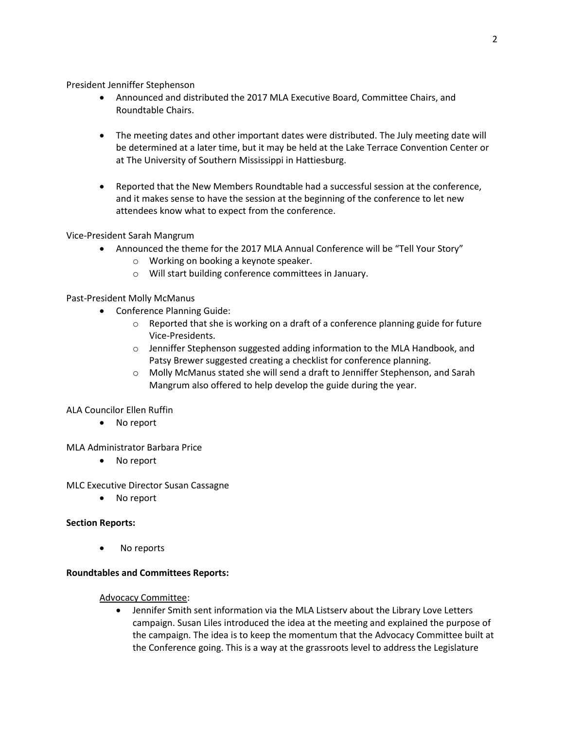President Jenniffer Stephenson

- Announced and distributed the 2017 MLA Executive Board, Committee Chairs, and Roundtable Chairs.
- The meeting dates and other important dates were distributed. The July meeting date will be determined at a later time, but it may be held at the Lake Terrace Convention Center or at The University of Southern Mississippi in Hattiesburg.
- Reported that the New Members Roundtable had a successful session at the conference, and it makes sense to have the session at the beginning of the conference to let new attendees know what to expect from the conference.

Vice-President Sarah Mangrum

- Announced the theme for the 2017 MLA Annual Conference will be "Tell Your Story"
	- o Working on booking a keynote speaker.
	- o Will start building conference committees in January.

Past-President Molly McManus

- Conference Planning Guide:
	- $\circ$  Reported that she is working on a draft of a conference planning guide for future Vice-Presidents.
	- o Jenniffer Stephenson suggested adding information to the MLA Handbook, and Patsy Brewer suggested creating a checklist for conference planning.
	- o Molly McManus stated she will send a draft to Jenniffer Stephenson, and Sarah Mangrum also offered to help develop the guide during the year.

## ALA Councilor Ellen Ruffin

No report

## MLA Administrator Barbara Price

No report

MLC Executive Director Susan Cassagne

• No report

## **Section Reports:**

No reports

## **Roundtables and Committees Reports:**

## Advocacy Committee:

 Jennifer Smith sent information via the MLA Listserv about the Library Love Letters campaign. Susan Liles introduced the idea at the meeting and explained the purpose of the campaign. The idea is to keep the momentum that the Advocacy Committee built at the Conference going. This is a way at the grassroots level to address the Legislature